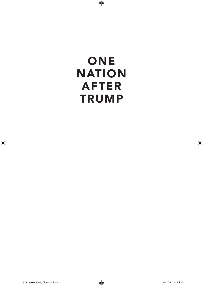$\bigoplus$ 

 $\bigoplus$ 

I

 $\bigoplus$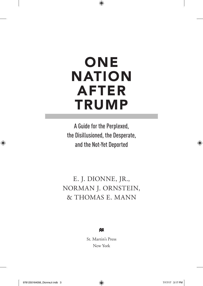$\bigoplus$ 

A Guide for the Perplexed, the Disillusioned, the Desperate, and the Not-Yet Deported

E. J. DIONNE, JR., Norman J. Ornstein, & Thomas E. Mann



St. Martin's Press New York

⊕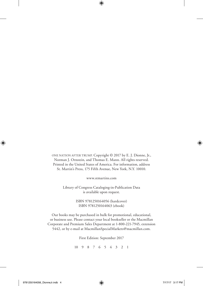one nation after trump. Copyright © 2017 by E. J. Dionne, Jr., Norman J. Ornstein, and Thomas E. Mann. All rights reserved. Printed in the United States of America. For information, address St. Martin's Press, 175 Fifth Avenue, New York, N.Y. 10010.

 $\bigoplus$ 

www.stmartins.com

Library of Congress Cataloging-in-Publication Data is available upon request.

> ISBN 9781250164056 (hardcover) ISBN 9781250164063 (ebook)

Our books may be purchased in bulk for promotional, educational, or business use. Please contact your local bookseller or the Macmillan Corporate and Premium Sales Department at 1-800-221-7945, extension 5442, or by e-mail at MacmillanSpecialMarkets@macmillan.com.

First Edition: September 2017

10 9 8 7 6 5 4 3 2 1

⊕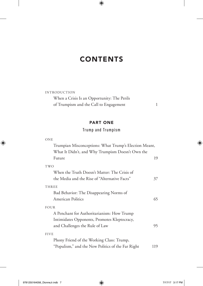## **CONTENTS**

 $\bigoplus$ 

**INTRODUCTION** 

 $\overline{\phantom{a}}$ 

 $\bigoplus$ 

| When a Crisis Is an Opportunity: The Perils |  |
|---------------------------------------------|--|
| of Trumpism and the Call to Engagement      |  |

### Part One

### Trump and Trumpism

| ONE                                                   |     |
|-------------------------------------------------------|-----|
| Trumpian Misconceptions: What Trump's Election Meant, |     |
| What It Didn't, and Why Trumpism Doesn't Own the      |     |
| Future                                                | 19  |
| TWO                                                   |     |
| When the Truth Doesn't Matter: The Crisis of          |     |
| the Media and the Rise of "Alternative Facts"         | 37  |
| <b>THREE</b>                                          |     |
| Bad Behavior: The Disappearing Norms of               |     |
| <b>American Politics</b>                              | 65  |
| FOUR                                                  |     |
| A Penchant for Authoritarianism: How Trump            |     |
| Intimidates Opponents, Promotes Kleptocracy,          |     |
| and Challenges the Rule of Law                        | 95  |
| <b>FIVE</b>                                           |     |
| Phony Friend of the Working Class: Trump,             |     |
| "Populism," and the New Politics of the Far Right     | 119 |

 $\overline{\phantom{a}}$ 

 $\bigoplus$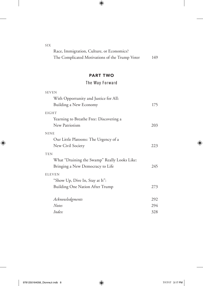$\bigoplus$ 

 $\overline{\phantom{a}}$ 

 $\bigoplus$ 

| Race, Immigration, Culture, or Economics?      |     |
|------------------------------------------------|-----|
| The Complicated Motivations of the Trump Voter | 149 |

## Part Two

## The Way Forward

| <b>SEVEN</b>                                 |     |
|----------------------------------------------|-----|
| With Opportunity and Justice for All:        |     |
| Building a New Economy                       | 175 |
| EIGHT                                        |     |
| Yearning to Breathe Free: Discovering a      |     |
| New Patriotism                               | 203 |
| <b>NINE</b>                                  |     |
| Our Little Platoons: The Urgency of a        |     |
| New Civil Society                            | 223 |
| <b>TEN</b>                                   |     |
| What "Draining the Swamp" Really Looks Like: |     |
| Bringing a New Democracy to Life             | 245 |
| <b>ELEVEN</b>                                |     |
| "Show Up, Dive In, Stay at It":              |     |
| <b>Building One Nation After Trump</b>       | 273 |
|                                              |     |
| Acknowledgments                              | 292 |
| <b>Notes</b>                                 | 294 |
| Index                                        | 328 |

 $\overline{\phantom{a}}$ 

 $\bigoplus$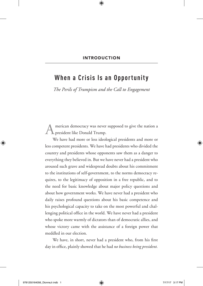#### **INTRODUCTION**

⊕

## **When a Crisis Is an Opportunity**

*The Perils of Trumpism and the Call to Engagement*

merican democracy was never supposed to give the nation a president like Donald Trump.

We have had more or less ideological presidents and more or less competent presidents. We have had presidents who divided the country and presidents whose opponents saw them as a danger to everything they believed in. But we have never had a president who aroused such grave and widespread doubts about his commitment to the institutions of self-government, to the norms democracy requires, to the legitimacy of opposition in a free republic, and to the need for basic knowledge about major policy questions and about how government works. We have never had a president who daily raises profound questions about his basic competence and his psychological capacity to take on the most powerful and challenging political office in the world. We have never had a president who spoke more warmly of dictators than of democratic allies, and whose victory came with the assistance of a foreign power that meddled in our election.

We have, in short, never had a president who, from his first day in office, plainly showed that he had *no business being president.*

9781250164056\_DionneJr.indb 1 (a)  $\bigoplus$  7/17/17 3:17 PM

⊕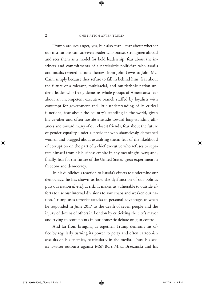⊕

Trump arouses anger, yes, but also fear—fear about whether our institutions can survive a leader who praises strongmen abroad and sees them as a model for bold leadership; fear about the instincts and commitments of a narcissistic politician who assails and insults revered national heroes, from John Lewis to John Mc-Cain, simply because they refuse to fall in behind him; fear about the future of a tolerant, multiracial, and multiethnic nation under a leader who freely demeans whole groups of Americans; fear about an incompetent executive branch staffed by loyalists with contempt for government and little understanding of its critical functions; fear about the country's standing in the world, given his cavalier and often hostile attitude toward long-standing alliances and toward many of our closest friends; fear about the future of gender equality under a president who shamelessly demeaned women and bragged about assaulting them; fear of the likelihood of corruption on the part of a chief executive who refuses to separate himself from his business empire in any meaningful way; and, finally, fear for the future of the United States' great experiment in freedom and democracy.

In his duplicitous reaction to Russia's efforts to undermine our democracy, he has shown us how the dysfunction of our politics puts our nation *directly* at risk. It makes us vulnerable to outside efforts to use our internal divisions to sow chaos and weaken our nation. Trump uses terrorist attacks to personal advantage, as when he responded in June 2017 to the death of seven people and the injury of dozens of others in London by criticizing the city's mayor and trying to score points in our domestic debate on gun control.

And far from bringing us together, Trump demeans his office by regularly turning its power to petty and often cartoonish assaults on his enemies, particularly in the media. Thus, his sexist Twitter outburst against MSNBC's Mika Brzezinski and his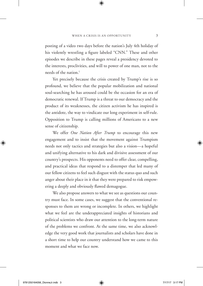⊕

posting of a video two days before the nation's July 4th holiday of his violently wrestling a figure labeled "CNN." These and other episodes we describe in these pages reveal a presidency devoted to the interests, proclivities, and will to power of one man, not to the needs of the nation.<sup>1</sup>

Yet precisely because the crisis created by Trump's rise is so profound, we believe that the popular mobilization and national soul-searching he has aroused could be the occasion for an era of democratic renewal. If Trump is a threat to our democracy and the product of its weaknesses, the citizen activism he has inspired is the antidote, the way to vindicate our long experiment in self-rule. Opposition to Trump is calling millions of Americans to a new sense of citizenship.

We offer *One Nation After Trump* to encourage this new engagement and to insist that the movement against Trumpism needs not only tactics and strategies but also a vision—a hopeful and unifying alternative to his dark and divisive assessment of our country's prospects. His opponents need to offer clear, compelling, and practical ideas that respond to a distemper that led many of our fellow citizens to feel such disgust with the status quo and such anger about their place in it that they were prepared to risk empowering a deeply and obviously flawed demagogue.

We also propose answers to what we see as questions our country must face. In some cases, we suggest that the conventional responses to them are wrong or incomplete. In others, we highlight what we feel are the underappreciated insights of historians and political scientists who draw our attention to the long-term nature of the problems we confront. At the same time, we also acknowledge the very good work that journalists and scholars have done in a short time to help our country understand how we came to this moment and what we face now.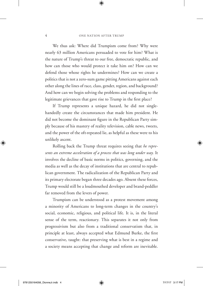⊕

We thus ask: Where did Trumpism come from? Why were nearly 63 million Americans persuaded to vote for him? What is the nature of Trump's threat to our free, democratic republic, and how can those who would protect it take him on? How can we defend those whose rights he undermines? How can we create a politics that is not a zero-sum game pitting Americans against each other along the lines of race, class, gender, region, and background? And how can we begin solving the problems and responding to the legitimate grievances that gave rise to Trump in the first place?

If Trump represents a unique hazard, he did not singlehandedly create the circumstances that made him president. He did not become the dominant figure in the Republican Party simply because of his mastery of reality television, cable news, tweets, and the power of the oft-repeated lie, as helpful as these were to his unlikely ascent.

Rolling back the Trump threat requires seeing that *he represents an extreme acceleration of a process that was long under way.* It involves the decline of basic norms in politics, governing, and the media as well as the decay of institutions that are central to republican government. The radicalization of the Republican Party and its primary electorate began three decades ago. Absent these forces, Trump would still be a loudmouthed developer and brand-peddler far removed from the levers of power.

Trumpism can be understood as a protest movement among a minority of Americans to long-term changes in the country's social, economic, religious, and political life. It is, in the literal sense of the term, reactionary. This separates it not only from progressivism but also from a traditional conservatism that, in principle at least, always accepted what Edmund Burke, the first conservative, taught: that preserving what is best in a regime and a society means accepting that change and reform are inevitable.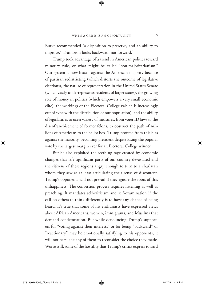⊕

Burke recommended "a disposition to preserve, and an ability to improve." Trumpism looks backward, not forward.<sup>2</sup>

Trump took advantage of a trend in American politics toward minority rule, or what might be called "non-majoritarianism." Our system is now biased against the American majority because of partisan redistricting (which distorts the outcome of legislative elections), the nature of representation in the United States Senate (which vastly underrepresents residents of larger states), the growing role of money in politics (which empowers a very small economic elite), the workings of the Electoral College (which is increasingly out of sync with the distribution of our population), and the ability of legislatures to use a variety of measures, from voter ID laws to the disenfranchisement of former felons, to obstruct the path of millions of Americans to the ballot box. Trump profited from this bias against the majority, becoming president despite losing the popular vote by the largest margin ever for an Electoral College winner.

But he also exploited the seething rage created by economic changes that left significant parts of our country devastated and the citizens of these regions angry enough to turn to a charlatan whom they saw as at least articulating their sense of discontent. Trump's opponents will not prevail if they ignore the roots of this unhappiness. The conversion process requires listening as well as preaching. It mandates self-criticism and self-examination if the call on others to think differently is to have any chance of being heard. It's true that some of his enthusiasts have expressed views about African Americans, women, immigrants, and Muslims that demand condemnation. But while denouncing Trump's supporters for "voting against their interests" or for being "backward" or "reactionary" may be emotionally satisfying to his opponents, it will not persuade any of them to reconsider the choice they made. Worse still, some of the hostility that Trump's critics express toward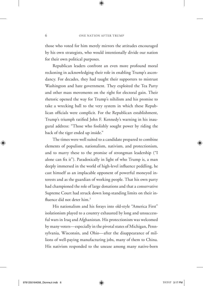⊕

those who voted for him merely mirrors the attitudes encouraged by his own strategists, who would intentionally divide our nation for their own political purposes.

Republican leaders confront an even more profound moral reckoning in acknowledging their role in enabling Trump's ascendancy. For decades, they had taught their supporters to mistrust Washington and hate government. They exploited the Tea Party and other mass movements on the right for electoral gain. Their rhetoric opened the way for Trump's nihilism and his promise to take a wrecking ball to the very system in which these Republican officials were complicit. For the Republican establishment, Trump's triumph ratified John F. Kennedy's warning in his inaugural address: "Those who foolishly sought power by riding the back of the tiger ended up inside."

The times were well suited to a candidate prepared to combine elements of populism, nationalism, nativism, and protectionism, and to marry these to the promise of strongman leadership ("I alone can fix it"). Paradoxically in light of who Trump is, a man deeply immersed in the world of high-level influence peddling, he cast himself as an implacable opponent of powerful moneyed interests and as the guardian of working people. That his own party had championed the role of large donations and that a conservative Supreme Court had struck down long-standing limits on their influence did not deter him.<sup>3</sup>

His nationalism and his forays into old-style "America First" isolationism played to a country exhausted by long and unsuccessful wars in Iraq and Afghanistan. His protectionism was welcomed by many voters—especially in the pivotal states of Michigan, Pennsylvania, Wisconsin, and Ohio—after the disappearance of millions of well-paying manufacturing jobs, many of them to China. His nativism responded to the unease among many native-born

⊕

⇔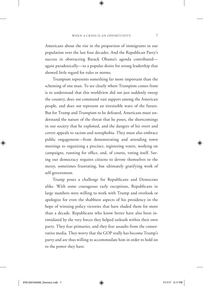⊕

Americans about the rise in the proportion of immigrants in our population over the last four decades. And the Republican Party's success in obstructing Barack Obama's agenda contributed again paradoxically—to a popular desire for strong leadership that showed little regard for rules or norms.

Trumpism represents something far more important than the scheming of one man. To see clearly where Trumpism comes from is to understand that this worldview did *not* just suddenly sweep the country, does *not* command vast support among the American people, and does *not* represent an irresistible wave of the future. But for Trump and Trumpism to be defeated, Americans must understand the nature of the threat that he poses, the shortcomings in our society that he exploited, and the dangers of his overt and covert appeals to racism and xenophobia. They must also embrace public engagement—from demonstrating and attending town meetings to organizing a precinct, registering voters, working on campaigns, running for office, and, of course, voting itself. Saving our democracy requires citizens to devote themselves to the messy, sometimes frustrating, but ultimately gratifying work of self-government.

Trump poses a challenge for Republicans and Democrats alike. With some courageous early exceptions, Republicans in large numbers were willing to work with Trump and overlook or apologize for even the shabbiest aspects of his presidency in the hope of winning policy victories that have eluded them for more than a decade. Republicans who know better have also been intimidated by the very forces they helped unleash within their own party. They fear primaries, and they fear assaults from the conservative media. They worry that the GOP really has become Trump's party and are thus willing to accommodate him in order to hold on to the power they have.

⊕

⇔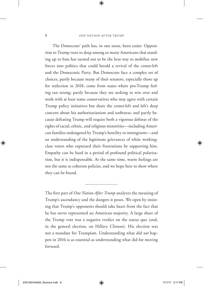⊕

The Democrats' path has, in one sense, been easier. Opposition to Trump runs so deep among so many Americans that standing up to him has turned out to be the best way to mobilize new forces into politics that could herald a revival of the center-left and the Democratic Party. But Democrats face a complex set of choices, partly because many of their senators, especially those up for reelection in 2018, come from states where pro-Trump feeling ran strong; partly because they are seeking to win over and work with at least some conservatives who may agree with certain Trump policy initiatives but share the center-left and left's deep concern about his authoritarianism and unfitness; and partly because defeating Trump will require both a vigorous defense of the rights of racial, ethnic, and religious minorities—including American families endangered by Trump's hostility to immigrants—and an understanding of the legitimate grievances of white workingclass voters who expressed their frustrations by supporting him. Empathy can be hard in a period of profound political polarization, but it is indispensable. At the same time, warm feelings are not the same as coherent policies, and we hope here to show where they can be found.

The first part of *One Nation After Trump* analyzes the meaning of Trump's ascendancy and the dangers it poses. We open by insisting that Trump's opponents should take heart from the fact that he has never represented an American majority. A large share of the Trump vote was a negative verdict on the status quo (and, in the general election, on Hillary Clinton). His election was not a mandate for Trumpism. Understanding what did *not* happen in 2016 is as essential as understanding what did for moving forward.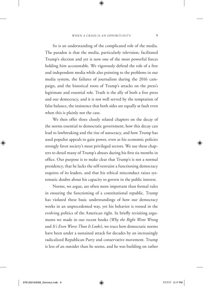⊕

So is an understanding of the complicated role of the media. The paradox is that the media, particularly television, facilitated Trump's election and yet is now one of the most powerful forces holding him accountable. We vigorously defend the role of a free and independent media while also pointing to the problems in our media system, the failures of journalism during the 2016 campaign, and the historical roots of Trump's attacks on the press's legitimate and essential role. Truth is the ally of both a free press and our democracy, and it is not well served by the temptation of false balance, the insistence that both sides are equally at fault even when this is plainly not the case.

We then offer three closely related chapters on the decay of the norms essential to democratic government, how this decay can lead to lawbreaking and the rise of autocracy, and how Trump has used populist appeals to gain power, even as his economic policies strongly favor society's most privileged sectors. We use these chapters to detail many of Trump's abuses during his first six months in office. Our purpose is to make clear that Trump's is not a normal presidency, that he lacks the self-restraint a functioning democracy requires of its leaders, and that his ethical misconduct raises systematic doubts about his capacity to govern in the public interest.

Norms, we argue, are often more important than formal rules in ensuring the functioning of a constitutional republic. Trump has violated these basic understandings of how our democracy works in an unprecedented way, yet his behavior is rooted in the evolving politics of the American right. In briefly revisiting arguments we made in our recent books (*Why the Right Went Wrong* and *It's Even Worse Than It Looks*), we trace how democratic norms have been under a sustained attack for decades by an increasingly radicalized Republican Party and conservative movement. Trump is less of an outsider than he seems, and he was building on rather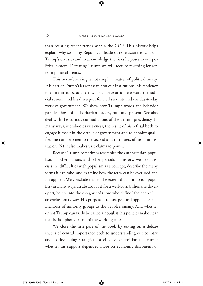⊕

than resisting recent trends within the GOP. This history helps explain why so many Republican leaders are reluctant to call out Trump's excesses and to acknowledge the risks he poses to our political system. Defeating Trumpism will require reversing longerterm political trends.

This norm-breaking is not simply a matter of political nicety. It is part of Trump's larger assault on our institutions, his tendency to think in autocratic terms, his abusive attitude toward the judicial system, and his disrespect for civil servants and the day-to-day work of government. We show how Trump's words and behavior parallel those of authoritarian leaders, past and present. We also deal with the curious contradictions of the Trump presidency. In many ways, it embodies weakness, the result of his refusal both to engage himself in the details of government and to appoint qualified men and women to the second and third tiers of his administration. Yet it also makes vast claims to power.

Because Trump sometimes resembles the authoritarian populists of other nations and other periods of history, we next discuss the difficulties with populism as a concept, describe the many forms it can take, and examine how the term can be overused and misapplied. We conclude that to the extent that Trump is a populist (in many ways an absurd label for a well-born billionaire developer), he fits into the category of those who define "the people" in an exclusionary way. His purpose is to cast political opponents and members of minority groups as the people's enemy. And whether or not Trump can fairly be called a populist, his policies make clear that he is a phony friend of the working class.

We close the first part of the book by taking on a debate that is of central importance both to understanding our country and to developing strategies for effective opposition to Trump: whether his support depended more on economic discontent or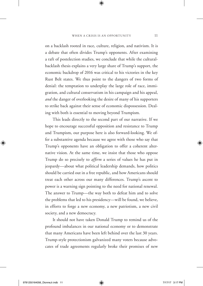⊕

on a backlash rooted in race, culture, religion, and nativism. It is a debate that often divides Trump's opponents. After examining a raft of postelection studies, we conclude that while the culturalbacklash thesis explains a very large share of Trump's support, the economic backdrop of 2016 was critical to his victories in the key Rust Belt states. We thus point to the dangers of two forms of denial: the temptation to underplay the large role of race, immigration, and cultural conservatism in his campaign and his appeal, *and* the danger of overlooking the desire of many of his supporters to strike back against their sense of economic dispossession. Dealing with both is essential to moving beyond Trumpism.

This leads directly to the second part of our narrative. If we hope to encourage successful opposition and resistance to Trump and Trumpism, our purpose here is also forward-looking. We offer a substantive agenda because we agree with those who say that Trump's opponents have an obligation to offer a coherent alternative vision. At the same time, we insist that those who oppose Trump do so precisely to *affirm* a series of values he has put in jeopardy—about what political leadership demands, how politics should be carried out in a free republic, and how Americans should treat each other across our many differences. Trump's ascent to power is a warning sign pointing to the need for national renewal. The answer to Trump—the way both to defeat him and to solve the problems that led to his presidency—will be found, we believe, in efforts to forge a new economy, a new patriotism, a new civil society, and a new democracy.

It should not have taken Donald Trump to remind us of the profound imbalances in our national economy or to demonstrate that many Americans have been left behind over the last 30 years. Trump-style protectionism galvanized many voters because advocates of trade agreements regularly broke their promises of new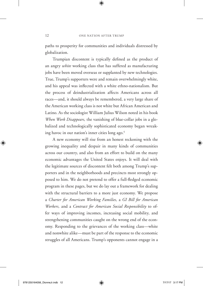⊕

paths to prosperity for communities and individuals distressed by globalization.

Trumpian discontent is typically defined as the product of an angry *white* working class that has suffered as manufacturing jobs have been moved overseas or supplanted by new technologies. True, Trump's supporters were and remain overwhelmingly white, and his appeal was inflected with a white ethno-nationalism. But the process of deindustrialization affects Americans across all races—and, it should always be remembered, a very large share of the American working class is not white but African American and Latino. As the sociologist William Julius Wilson noted in his book *When Work Disappears,* the vanishing of blue-collar jobs in a globalized and technologically sophisticated economy began wreaking havoc in our nation's inner cities long ago.4

A new economy will rise from an honest reckoning with the growing inequality and despair in many kinds of communities across our country, and also from an effort to build on the many economic advantages the United States enjoys. It will deal with the legitimate sources of discontent felt both among Trump's supporters and in the neighborhoods and precincts most strongly opposed to him. We do not pretend to offer a full-fledged economic program in these pages, but we do lay out a framework for dealing with the structural barriers to a more just economy. We propose a *Charter for American Working Families,* a *GI Bill for American Workers,* and a *Contract for American Social Responsibility* to offer ways of improving incomes, increasing social mobility, and strengthening communities caught on the wrong end of the economy. Responding to the grievances of the working class—white and nonwhite alike—must be part of the response to the economic struggles of all Americans. Trump's opponents cannot engage in a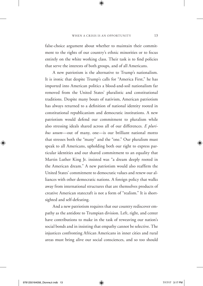⊕

false-choice argument about whether to maintain their commitment to the rights of our country's ethnic minorities or to focus entirely on the white working class. Their task is to find policies that serve the interests of both groups, and of all Americans.

A new patriotism is the alternative to Trump's nationalism. It is ironic that despite Trump's calls for "America First," he has imported into American politics a blood-and-soil nationalism far removed from the United States' pluralistic and constitutional traditions. Despite many bouts of nativism, American patriotism has always returned to a definition of national identity rooted in constitutional republicanism and democratic institutions. A new patriotism would defend our commitment to pluralism while also stressing ideals shared across all of our differences. *E pluribus unum*—out of many, one—is our brilliant national motto that stresses both the "many" and the "one." Our pluralism must speak to all Americans, upholding both our right to express particular identities and our shared commitment to an equality that Martin Luther King Jr. insisted was "a dream deeply rooted in the American dream." A new patriotism would also reaffirm the United States' commitment to democratic values and renew our alliances with other democratic nations. A foreign policy that walks away from international structures that are themselves products of creative American statecraft is not a form of "realism." It is shortsighted and self-defeating.

And a new patriotism requires that our country rediscover empathy as the antidote to Trumpian division. Left, right, and center have contributions to make in the task of reweaving our nation's social bonds and in insisting that empathy cannot be selective. The injustices confronting African Americans in inner cities and rural areas must bring alive our social consciences, and so too should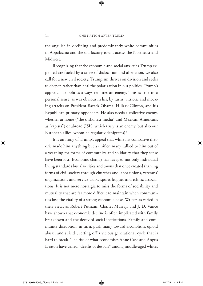⊕

the anguish in declining and predominantly white communities in Appalachia and the old factory towns across the Northeast and Midwest.

Recognizing that the economic and social anxieties Trump exploited are fueled by a sense of dislocation and alienation, we also call for a new civil society. Trumpism thrives on division and seeks to deepen rather than heal the polarization in our politics. Trump's approach to politics always requires an enemy. This is true in a personal sense, as was obvious in his, by turns, vitriolic and mocking attacks on President Barack Obama, Hillary Clinton, and his Republican primary opponents. He also needs a collective enemy, whether at home ("the dishonest media" and Mexican Americans as "rapists") or abroad (ISIS, which truly is an enemy, but also our European allies, whom he regularly denigrates).5

It is an irony of Trump's appeal that while his combative rhetoric made him anything but a unifier, many rallied to him out of a yearning for forms of community and solidarity that they sense have been lost. Economic change has ravaged not only individual living standards but also cities and towns that once created thriving forms of civil society through churches and labor unions, veterans' organizations and service clubs, sports leagues and ethnic associations. It is not mere nostalgia to miss the forms of sociability and mutuality that are far more difficult to maintain when communities lose the vitality of a strong economic base. Writers as varied in their views as Robert Putnam, Charles Murray, and J. D. Vance have shown that economic decline is often implicated with family breakdown and the decay of social institutions. Family and community disruption, in turn, push many toward alcoholism, opioid abuse, and suicide, setting off a vicious generational cycle that is hard to break. The rise of what economists Anne Case and Angus Deaton have called "deaths of despair" among middle-aged whites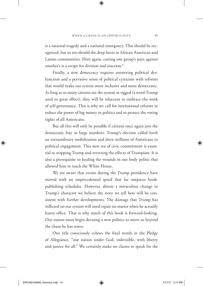⊕

is a national tragedy and a national emergency. This should be recognized, but so too should the deep hurts in African American and Latino communities. Here again, casting one group's pain against another's is a recipe for division and inaction.<sup>6</sup>

Finally, a new democracy requires answering political dysfunction and a pervasive sense of political cynicism with reforms that would make our system more inclusive and more democratic. As long as so many citizens see the system as rigged (a word Trump used to great effect), they will be reluctant to embrace the work of self-governance. This is why we call for institutional reforms to reduce the power of big money in politics and to protect the voting rights of all Americans.

But all this will only be possible if citizens once again join the democratic fray in large numbers. Trump's election called forth an extraordinary mobilization and drew millions of Americans to political engagement. This new era of civic commitment is essential to stopping Trump and reversing the effects of Trumpism. It is also a prerequisite to healing the wounds in our body politic that allowed him to reach the White House.

We are aware that events during the Trump presidency have moved with an unprecedented speed that far outpaces bookpublishing schedules. However, absent a miraculous change in Trump's character we believe the story we tell here will be consistent with further developments. The damage that Trump has inflicted on our system will need repair no matter when he actually leaves office. That is why much of this book is forward-looking. Our nation must begin devising a new politics to move us beyond the chaos he has sown.

Our title consciously echoes the final words in the Pledge of Allegiance, "one nation under God, indivisible, with liberty and justice for all." We certainly make no claims to speak for the

⊕

⇔